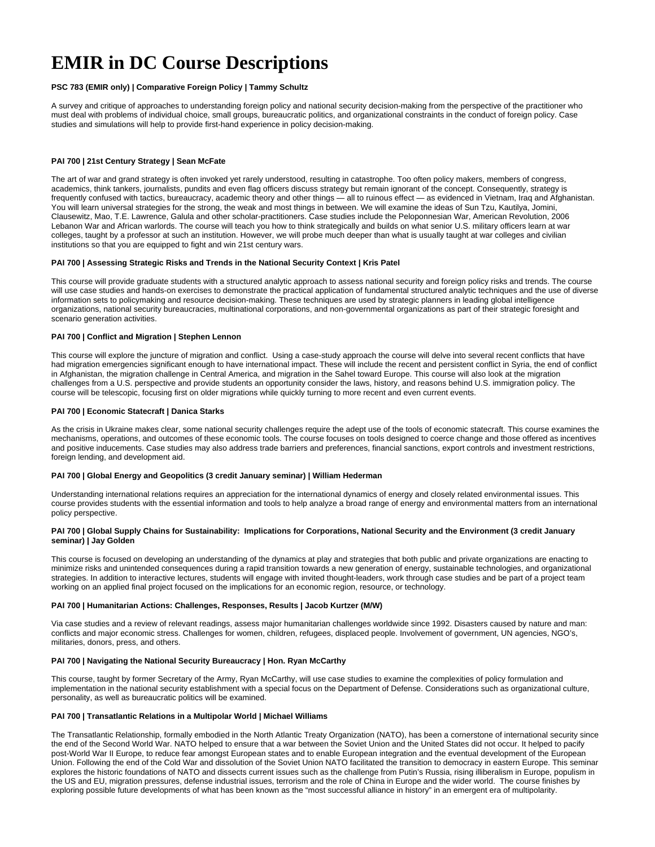# **EMIR in DC Course Descriptions**

# **PSC 783 (EMIR only) | Comparative Foreign Policy | Tammy Schultz**

A survey and critique of approaches to understanding foreign policy and national security decision-making from the perspective of the practitioner who must deal with problems of individual choice, small groups, bureaucratic politics, and organizational constraints in the conduct of foreign policy. Case studies and simulations will help to provide first-hand experience in policy decision-making.

# **PAI 700 | 21st Century Strategy | Sean McFate**

The art of war and grand strategy is often invoked yet rarely understood, resulting in catastrophe. Too often policy makers, members of congress, academics, think tankers, journalists, pundits and even flag officers discuss strategy but remain ignorant of the concept. Consequently, strategy is frequently confused with tactics, bureaucracy, academic theory and other things — all to ruinous effect — as evidenced in Vietnam, Iraq and Afghanistan. You will learn universal strategies for the strong, the weak and most things in between. We will examine the ideas of Sun Tzu, Kautilya, Jomini, Clausewitz, Mao, T.E. Lawrence, Galula and other scholar-practitioners. Case studies include the Peloponnesian War, American Revolution, 2006 Lebanon War and African warlords. The course will teach you how to think strategically and builds on what senior U.S. military officers learn at war colleges, taught by a professor at such an institution. However, we will probe much deeper than what is usually taught at war colleges and civilian institutions so that you are equipped to fight and win 21st century wars.

# **PAI 700 | Assessing Strategic Risks and Trends in the National Security Context | Kris Patel**

This course will provide graduate students with a structured analytic approach to assess national security and foreign policy risks and trends. The course will use case studies and hands-on exercises to demonstrate the practical application of fundamental structured analytic techniques and the use of diverse information sets to policymaking and resource decision-making. These techniques are used by strategic planners in leading global intelligence organizations, national security bureaucracies, multinational corporations, and non-governmental organizations as part of their strategic foresight and scenario generation activities.

# **PAI 700 | Conflict and Migration | Stephen Lennon**

This course will explore the juncture of migration and conflict. Using a case-study approach the course will delve into several recent conflicts that have had migration emergencies significant enough to have international impact. These will include the recent and persistent conflict in Syria, the end of conflict in Afghanistan, the migration challenge in Central America, and migration in the Sahel toward Europe. This course will also look at the migration challenges from a U.S. perspective and provide students an opportunity consider the laws, history, and reasons behind U.S. immigration policy. The course will be telescopic, focusing first on older migrations while quickly turning to more recent and even current events.

# **PAI 700 | Economic Statecraft | Danica Starks**

As the crisis in Ukraine makes clear, some national security challenges require the adept use of the tools of economic statecraft. This course examines the mechanisms, operations, and outcomes of these economic tools. The course focuses on tools designed to coerce change and those offered as incentives and positive inducements. Case studies may also address trade barriers and preferences, financial sanctions, export controls and investment restrictions, foreign lending, and development aid.

# **PAI 700 | Global Energy and Geopolitics (3 credit January seminar) | William Hederman**

Understanding international relations requires an appreciation for the international dynamics of energy and closely related environmental issues. This course provides students with the essential information and tools to help analyze a broad range of energy and environmental matters from an international policy perspective.

# **PAI 700 | Global Supply Chains for Sustainability: Implications for Corporations, National Security and the Environment (3 credit January seminar) | Jay Golden**

This course is focused on developing an understanding of the dynamics at play and strategies that both public and private organizations are enacting to minimize risks and unintended consequences during a rapid transition towards a new generation of energy, sustainable technologies, and organizational strategies. In addition to interactive lectures, students will engage with invited thought-leaders, work through case studies and be part of a project team working on an applied final project focused on the implications for an economic region, resource, or technology.

# **PAI 700 | Humanitarian Actions: Challenges, Responses, Results | Jacob Kurtzer (M/W)**

Via case studies and a review of relevant readings, assess major humanitarian challenges worldwide since 1992. Disasters caused by nature and man: conflicts and major economic stress. Challenges for women, children, refugees, displaced people. Involvement of government, UN agencies, NGO's, militaries, donors, press, and others.

# **PAI 700 | Navigating the National Security Bureaucracy | Hon. Ryan McCarthy**

This course, taught by former Secretary of the Army, Ryan McCarthy, will use case studies to examine the complexities of policy formulation and implementation in the national security establishment with a special focus on the Department of Defense. Considerations such as organizational culture, personality, as well as bureaucratic politics will be examined.

# **PAI 700 | Transatlantic Relations in a Multipolar World | Michael Williams**

The Transatlantic Relationship, formally embodied in the North Atlantic Treaty Organization (NATO), has been a cornerstone of international security since the end of the Second World War. NATO helped to ensure that a war between the Soviet Union and the United States did not occur. It helped to pacify post-World War II Europe, to reduce fear amongst European states and to enable European integration and the eventual development of the European Union. Following the end of the Cold War and dissolution of the Soviet Union NATO facilitated the transition to democracy in eastern Europe. This seminar explores the historic foundations of NATO and dissects current issues such as the challenge from Putin's Russia, rising illiberalism in Europe, populism in the US and EU, migration pressures, defense industrial issues, terrorism and the role of China in Europe and the wider world. The course finishes by exploring possible future developments of what has been known as the "most successful alliance in history" in an emergent era of multipolarity.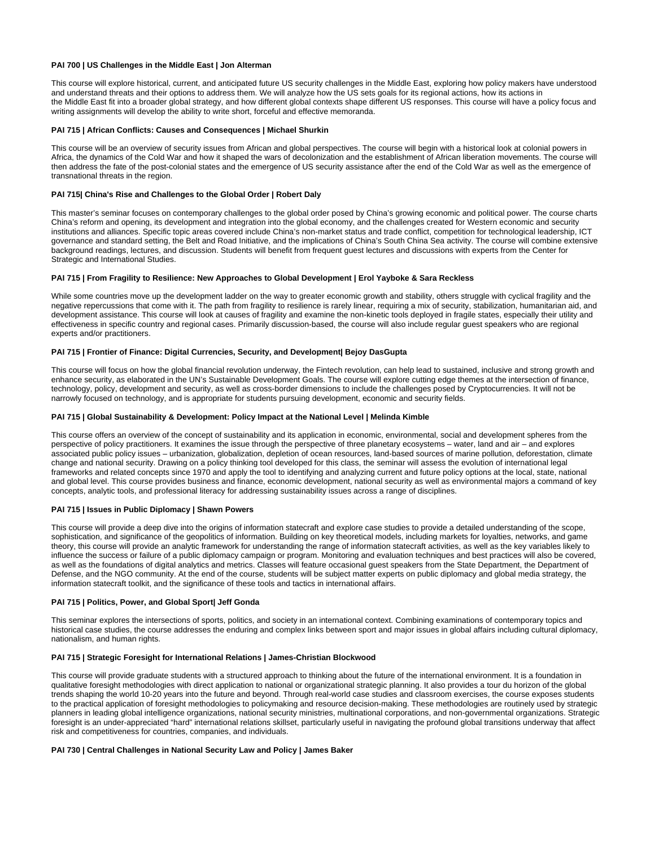# **PAI 700 | US Challenges in the Middle East | Jon Alterman**

This course will explore historical, current, and anticipated future US security challenges in the Middle East, exploring how policy makers have understood and understand threats and their options to address them. We will analyze how the US sets goals for its regional actions, how its actions in the Middle East fit into a broader global strategy, and how different global contexts shape different US responses. This course will have a policy focus and writing assignments will develop the ability to write short, forceful and effective memoranda.

### **PAI 715 | African Conflicts: Causes and Consequences | Michael Shurkin**

This course will be an overview of security issues from African and global perspectives. The course will begin with a historical look at colonial powers in Africa, the dynamics of the Cold War and how it shaped the wars of decolonization and the establishment of African liberation movements. The course will then address the fate of the post-colonial states and the emergence of US security assistance after the end of the Cold War as well as the emergence of transnational threats in the region.

## **PAI 715| China's Rise and Challenges to the Global Order | Robert Daly**

This master's seminar focuses on contemporary challenges to the global order posed by China's growing economic and political power. The course charts China's reform and opening, its development and integration into the global economy, and the challenges created for Western economic and security institutions and alliances. Specific topic areas covered include China's non-market status and trade conflict, competition for technological leadership, ICT governance and standard setting, the Belt and Road Initiative, and the implications of China's South China Sea activity. The course will combine extensive background readings, lectures, and discussion. Students will benefit from frequent guest lectures and discussions with experts from the Center for Strategic and International Studies.

## **PAI 715 | From Fragility to Resilience: New Approaches to Global Development | Erol Yayboke & Sara Reckless**

While some countries move up the development ladder on the way to greater economic growth and stability, others struggle with cyclical fragility and the negative repercussions that come with it. The path from fragility to resilience is rarely linear, requiring a mix of security, stabilization, humanitarian aid, and development assistance. This course will look at causes of fragility and examine the non-kinetic tools deployed in fragile states, especially their utility and effectiveness in specific country and regional cases. Primarily discussion-based, the course will also include regular guest speakers who are regional experts and/or practitioners.

## **PAI 715 | Frontier of Finance: Digital Currencies, Security, and Development| Bejoy DasGupta**

This course will focus on how the global financial revolution underway, the Fintech revolution, can help lead to sustained, inclusive and strong growth and enhance security, as elaborated in the UN's Sustainable Development Goals. The course will explore cutting edge themes at the intersection of finance, technology, policy, development and security, as well as cross-border dimensions to include the challenges posed by Cryptocurrencies. It will not be narrowly focused on technology, and is appropriate for students pursuing development, economic and security fields.

### **PAI 715 | Global Sustainability & Development: Policy Impact at the National Level | Melinda Kimble**

This course offers an overview of the concept of sustainability and its application in economic, environmental, social and development spheres from the perspective of policy practitioners. It examines the issue through the perspective of three planetary ecosystems – water, land and air – and explores associated public policy issues – urbanization, globalization, depletion of ocean resources, land-based sources of marine pollution, deforestation, climate change and national security. Drawing on a policy thinking tool developed for this class, the seminar will assess the evolution of international legal frameworks and related concepts since 1970 and apply the tool to identifying and analyzing current and future policy options at the local, state, national and global level. This course provides business and finance, economic development, national security as well as environmental majors a command of key concepts, analytic tools, and professional literacy for addressing sustainability issues across a range of disciplines.

### **PAI 715 | Issues in Public Diplomacy | Shawn Powers**

This course will provide a deep dive into the origins of information statecraft and explore case studies to provide a detailed understanding of the scope, sophistication, and significance of the geopolitics of information. Building on key theoretical models, including markets for loyalties, networks, and game theory, this course will provide an analytic framework for understanding the range of information statecraft activities, as well as the key variables likely to influence the success or failure of a public diplomacy campaign or program. Monitoring and evaluation techniques and best practices will also be covered, as well as the foundations of digital analytics and metrics. Classes will feature occasional guest speakers from the State Department, the Department of Defense, and the NGO community. At the end of the course, students will be subject matter experts on public diplomacy and global media strategy, the information statecraft toolkit, and the significance of these tools and tactics in international affairs.

# **PAI 715 | Politics, Power, and Global Sport| Jeff Gonda**

This seminar explores the intersections of sports, politics, and society in an international context. Combining examinations of contemporary topics and historical case studies, the course addresses the enduring and complex links between sport and major issues in global affairs including cultural diplomacy, nationalism, and human rights.

### **PAI 715 | Strategic Foresight for International Relations | James-Christian Blockwood**

This course will provide graduate students with a structured approach to thinking about the future of the international environment. It is a foundation in qualitative foresight methodologies with direct application to national or organizational strategic planning. It also provides a tour du horizon of the global trends shaping the world 10-20 years into the future and beyond. Through real-world case studies and classroom exercises, the course exposes students to the practical application of foresight methodologies to policymaking and resource decision-making. These methodologies are routinely used by strategic planners in leading global intelligence organizations, national security ministries, multinational corporations, and non-governmental organizations. Strategic foresight is an under-appreciated "hard" international relations skillset, particularly useful in navigating the profound global transitions underway that affect risk and competitiveness for countries, companies, and individuals.

#### **PAI 730 | Central Challenges in National Security Law and Policy | James Baker**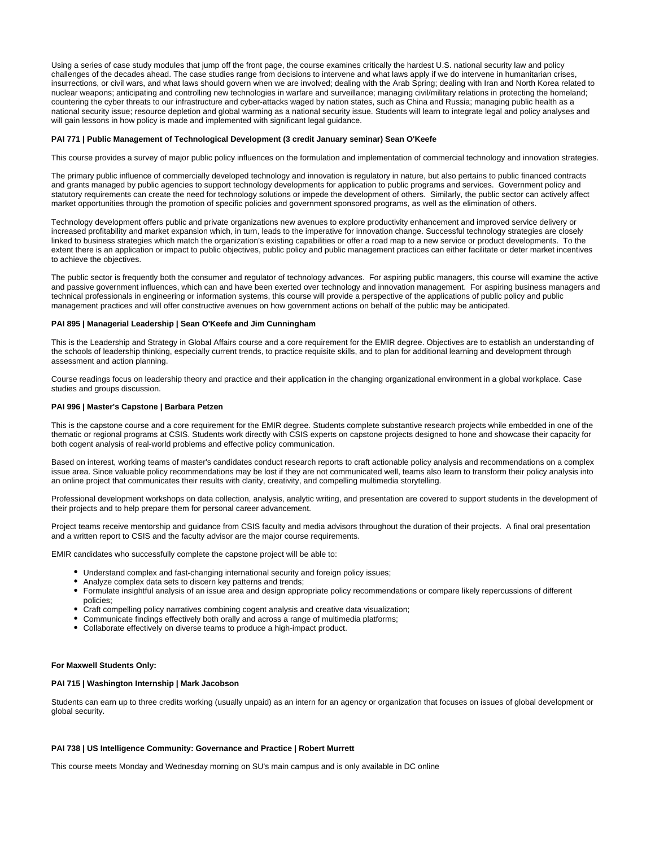Using a series of case study modules that jump off the front page, the course examines critically the hardest U.S. national security law and policy challenges of the decades ahead. The case studies range from decisions to intervene and what laws apply if we do intervene in humanitarian crises, insurrections, or civil wars, and what laws should govern when we are involved; dealing with the Arab Spring; dealing with Iran and North Korea related to nuclear weapons; anticipating and controlling new technologies in warfare and surveillance; managing civil/military relations in protecting the homeland; countering the cyber threats to our infrastructure and cyber-attacks waged by nation states, such as China and Russia; managing public health as a national security issue; resource depletion and global warming as a national security issue. Students will learn to integrate legal and policy analyses and will gain lessons in how policy is made and implemented with significant legal guidance.

#### **PAI 771 | Public Management of Technological Development (3 credit January seminar) Sean O'Keefe**

This course provides a survey of major public policy influences on the formulation and implementation of commercial technology and innovation strategies.

The primary public influence of commercially developed technology and innovation is regulatory in nature, but also pertains to public financed contracts and grants managed by public agencies to support technology developments for application to public programs and services. Government policy and statutory requirements can create the need for technology solutions or impede the development of others. Similarly, the public sector can actively affect market opportunities through the promotion of specific policies and government sponsored programs, as well as the elimination of others.

Technology development offers public and private organizations new avenues to explore productivity enhancement and improved service delivery or increased profitability and market expansion which, in turn, leads to the imperative for innovation change. Successful technology strategies are closely linked to business strategies which match the organization's existing capabilities or offer a road map to a new service or product developments. To the extent there is an application or impact to public objectives, public policy and public management practices can either facilitate or deter market incentives to achieve the objectives.

The public sector is frequently both the consumer and regulator of technology advances. For aspiring public managers, this course will examine the active and passive government influences, which can and have been exerted over technology and innovation management. For aspiring business managers and technical professionals in engineering or information systems, this course will provide a perspective of the applications of public policy and public management practices and will offer constructive avenues on how government actions on behalf of the public may be anticipated.

#### **PAI 895 | Managerial Leadership | Sean O'Keefe and Jim Cunningham**

This is the Leadership and Strategy in Global Affairs course and a core requirement for the EMIR degree. Objectives are to establish an understanding of the schools of leadership thinking, especially current trends, to practice requisite skills, and to plan for additional learning and development through assessment and action planning.

Course readings focus on leadership theory and practice and their application in the changing organizational environment in a global workplace. Case studies and groups discussion.

## **PAI 996 | Master's Capstone | Barbara Petzen**

This is the capstone course and a core requirement for the EMIR degree. Students complete substantive research projects while embedded in one of the thematic or regional programs at CSIS. Students work directly with CSIS experts on capstone projects designed to hone and showcase their capacity for both cogent analysis of real-world problems and effective policy communication.

Based on interest, working teams of master's candidates conduct research reports to craft actionable policy analysis and recommendations on a complex issue area. Since valuable policy recommendations may be lost if they are not communicated well, teams also learn to transform their policy analysis into an online project that communicates their results with clarity, creativity, and compelling multimedia storytelling.

Professional development workshops on data collection, analysis, analytic writing, and presentation are covered to support students in the development of their projects and to help prepare them for personal career advancement.

Project teams receive mentorship and guidance from CSIS faculty and media advisors throughout the duration of their projects. A final oral presentation and a written report to CSIS and the faculty advisor are the major course requirements.

EMIR candidates who successfully complete the capstone project will be able to:

- Understand complex and fast-changing international security and foreign policy issues;
- Analyze complex data sets to discern key patterns and trends;
- Formulate insightful analysis of an issue area and design appropriate policy recommendations or compare likely repercussions of different policies;
- Craft compelling policy narratives combining cogent analysis and creative data visualization;
- Communicate findings effectively both orally and across a range of multimedia platforms;
- Collaborate effectively on diverse teams to produce a high-impact product.

#### **For Maxwell Students Only:**

# **PAI 715 | Washington Internship | Mark Jacobson**

Students can earn up to three credits working (usually unpaid) as an intern for an agency or organization that focuses on issues of global development or global security.

### **PAI 738 | US Intelligence Community: Governance and Practice | Robert Murrett**

This course meets Monday and Wednesday morning on SU's main campus and is only available in DC online